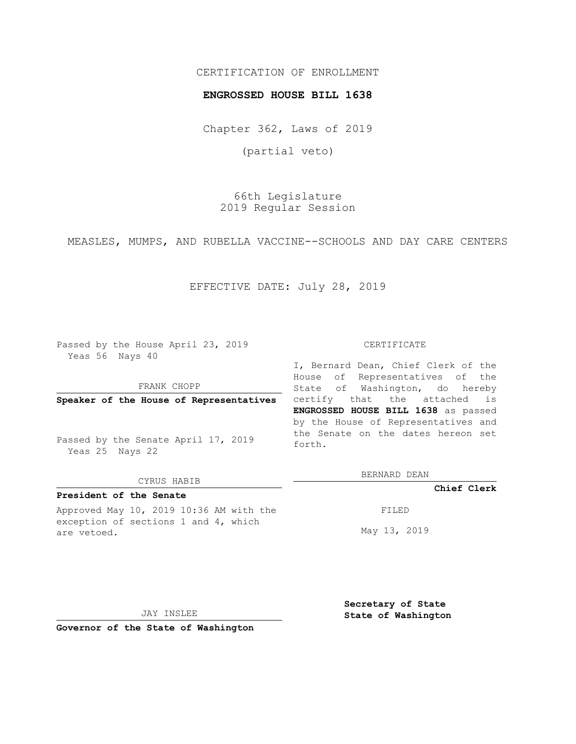# CERTIFICATION OF ENROLLMENT

#### **ENGROSSED HOUSE BILL 1638**

Chapter 362, Laws of 2019

(partial veto)

66th Legislature 2019 Regular Session

MEASLES, MUMPS, AND RUBELLA VACCINE--SCHOOLS AND DAY CARE CENTERS

# EFFECTIVE DATE: July 28, 2019

Passed by the House April 23, 2019 Yeas 56 Nays 40

FRANK CHOPP

**Speaker of the House of Representatives**

Passed by the Senate April 17, 2019 Yeas 25 Nays 22

#### CYRUS HABIB

# **President of the Senate**

Approved May 10, 2019 10:36 AM with the exception of sections 1 and 4, which are vetoed.

#### CERTIFICATE

I, Bernard Dean, Chief Clerk of the House of Representatives of the State of Washington, do hereby certify that the attached is **ENGROSSED HOUSE BILL 1638** as passed by the House of Representatives and the Senate on the dates hereon set forth.

BERNARD DEAN

**Chief Clerk**

FILED

May 13, 2019

JAY INSLEE

**Governor of the State of Washington**

**Secretary of State State of Washington**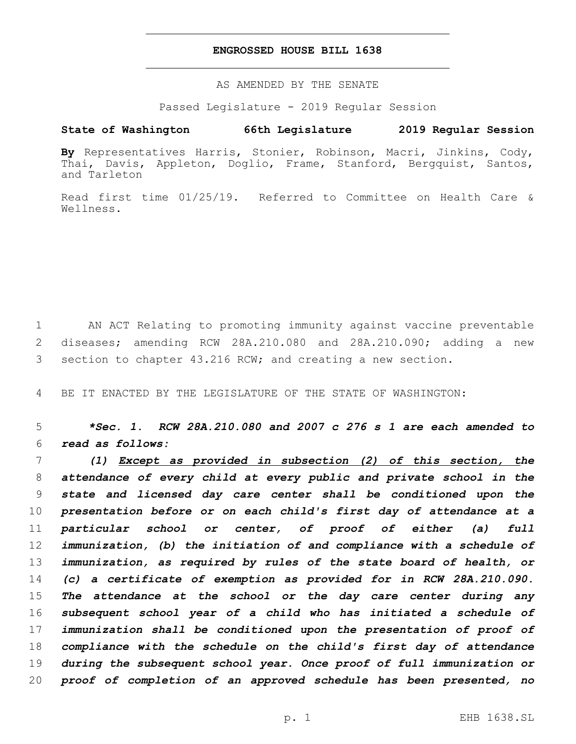#### **ENGROSSED HOUSE BILL 1638**

AS AMENDED BY THE SENATE

Passed Legislature - 2019 Regular Session

# **State of Washington 66th Legislature 2019 Regular Session**

**By** Representatives Harris, Stonier, Robinson, Macri, Jinkins, Cody, Thai, Davis, Appleton, Doglio, Frame, Stanford, Bergquist, Santos, and Tarleton

Read first time 01/25/19. Referred to Committee on Health Care & Wellness.

 AN ACT Relating to promoting immunity against vaccine preventable diseases; amending RCW 28A.210.080 and 28A.210.090; adding a new section to chapter 43.216 RCW; and creating a new section.

BE IT ENACTED BY THE LEGISLATURE OF THE STATE OF WASHINGTON:

 *\*Sec. 1. RCW 28A.210.080 and 2007 c 276 s 1 are each amended to read as follows:*

 *(1) Except as provided in subsection (2) of this section, the attendance of every child at every public and private school in the state and licensed day care center shall be conditioned upon the presentation before or on each child's first day of attendance at a particular school or center, of proof of either (a) full immunization, (b) the initiation of and compliance with a schedule of immunization, as required by rules of the state board of health, or (c) a certificate of exemption as provided for in RCW 28A.210.090. The attendance at the school or the day care center during any subsequent school year of a child who has initiated a schedule of immunization shall be conditioned upon the presentation of proof of compliance with the schedule on the child's first day of attendance during the subsequent school year. Once proof of full immunization or proof of completion of an approved schedule has been presented, no*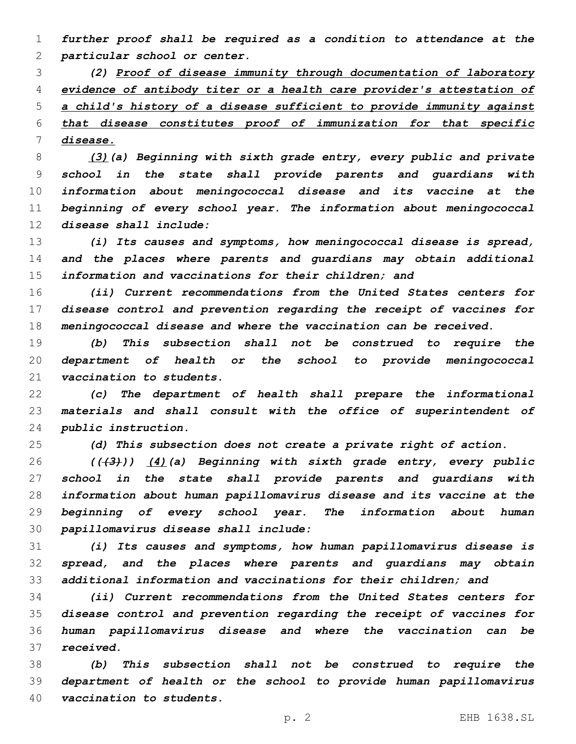*further proof shall be required as a condition to attendance at the particular school or center.*

 *(2) Proof of disease immunity through documentation of laboratory evidence of antibody titer or a health care provider's attestation of a child's history of a disease sufficient to provide immunity against that disease constitutes proof of immunization for that specific disease.*

 *(3)(a) Beginning with sixth grade entry, every public and private school in the state shall provide parents and guardians with information about meningococcal disease and its vaccine at the beginning of every school year. The information about meningococcal disease shall include:*

 *(i) Its causes and symptoms, how meningococcal disease is spread, and the places where parents and guardians may obtain additional information and vaccinations for their children; and*

 *(ii) Current recommendations from the United States centers for disease control and prevention regarding the receipt of vaccines for meningococcal disease and where the vaccination can be received.*

 *(b) This subsection shall not be construed to require the department of health or the school to provide meningococcal vaccination to students.*

 *(c) The department of health shall prepare the informational materials and shall consult with the office of superintendent of public instruction.*

*(d) This subsection does not create a private right of action.*

 *(((3))) (4)(a) Beginning with sixth grade entry, every public school in the state shall provide parents and guardians with information about human papillomavirus disease and its vaccine at the beginning of every school year. The information about human papillomavirus disease shall include:*

 *(i) Its causes and symptoms, how human papillomavirus disease is spread, and the places where parents and guardians may obtain additional information and vaccinations for their children; and*

 *(ii) Current recommendations from the United States centers for disease control and prevention regarding the receipt of vaccines for human papillomavirus disease and where the vaccination can be received.*

 *(b) This subsection shall not be construed to require the department of health or the school to provide human papillomavirus vaccination to students.*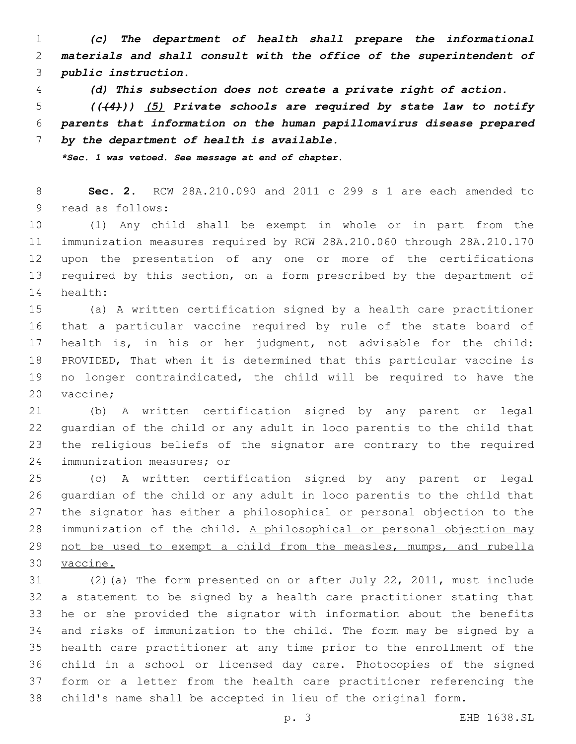*(c) The department of health shall prepare the informational materials and shall consult with the office of the superintendent of public instruction.*

*(d) This subsection does not create a private right of action.*

 *(((4))) (5) Private schools are required by state law to notify parents that information on the human papillomavirus disease prepared by the department of health is available.*

*\*Sec. 1 was vetoed. See message at end of chapter.*

 **Sec. 2.** RCW 28A.210.090 and 2011 c 299 s 1 are each amended to 9 read as follows:

 (1) Any child shall be exempt in whole or in part from the immunization measures required by RCW 28A.210.060 through 28A.210.170 upon the presentation of any one or more of the certifications 13 required by this section, on a form prescribed by the department of 14 health:

 (a) A written certification signed by a health care practitioner that a particular vaccine required by rule of the state board of health is, in his or her judgment, not advisable for the child: PROVIDED, That when it is determined that this particular vaccine is no longer contraindicated, the child will be required to have the 20 vaccine;

 (b) A written certification signed by any parent or legal guardian of the child or any adult in loco parentis to the child that the religious beliefs of the signator are contrary to the required 24 immunization measures; or

 (c) A written certification signed by any parent or legal guardian of the child or any adult in loco parentis to the child that the signator has either a philosophical or personal objection to the 28 immunization of the child. A philosophical or personal objection may not be used to exempt a child from the measles, mumps, and rubella vaccine.

 (2)(a) The form presented on or after July 22, 2011, must include a statement to be signed by a health care practitioner stating that he or she provided the signator with information about the benefits and risks of immunization to the child. The form may be signed by a health care practitioner at any time prior to the enrollment of the child in a school or licensed day care. Photocopies of the signed form or a letter from the health care practitioner referencing the child's name shall be accepted in lieu of the original form.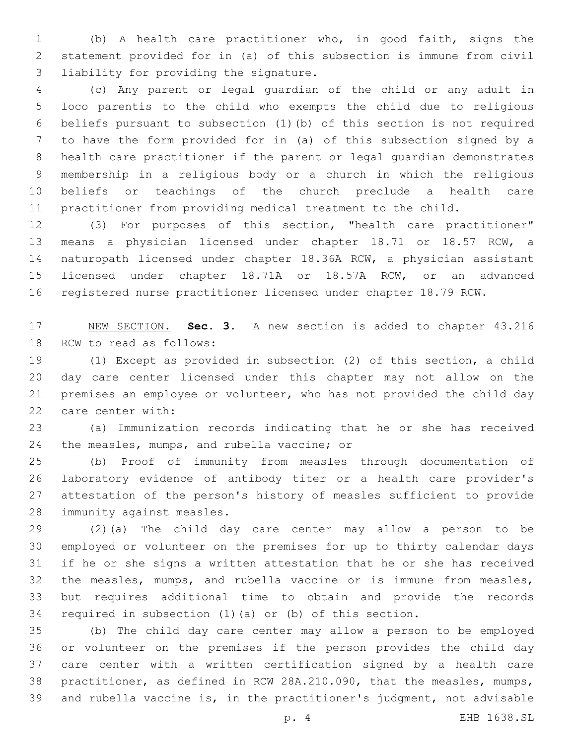(b) A health care practitioner who, in good faith, signs the statement provided for in (a) of this subsection is immune from civil 3 liability for providing the signature.

 (c) Any parent or legal guardian of the child or any adult in loco parentis to the child who exempts the child due to religious beliefs pursuant to subsection (1)(b) of this section is not required to have the form provided for in (a) of this subsection signed by a health care practitioner if the parent or legal guardian demonstrates membership in a religious body or a church in which the religious beliefs or teachings of the church preclude a health care practitioner from providing medical treatment to the child.

 (3) For purposes of this section, "health care practitioner" means a physician licensed under chapter 18.71 or 18.57 RCW, a naturopath licensed under chapter 18.36A RCW, a physician assistant licensed under chapter 18.71A or 18.57A RCW, or an advanced registered nurse practitioner licensed under chapter 18.79 RCW.

 NEW SECTION. **Sec. 3.** A new section is added to chapter 43.216 18 RCW to read as follows:

 (1) Except as provided in subsection (2) of this section, a child day care center licensed under this chapter may not allow on the premises an employee or volunteer, who has not provided the child day 22 care center with:

 (a) Immunization records indicating that he or she has received 24 the measles, mumps, and rubella vaccine; or

 (b) Proof of immunity from measles through documentation of laboratory evidence of antibody titer or a health care provider's attestation of the person's history of measles sufficient to provide 28 immunity against measles.

 (2)(a) The child day care center may allow a person to be employed or volunteer on the premises for up to thirty calendar days if he or she signs a written attestation that he or she has received the measles, mumps, and rubella vaccine or is immune from measles, but requires additional time to obtain and provide the records required in subsection (1)(a) or (b) of this section.

 (b) The child day care center may allow a person to be employed or volunteer on the premises if the person provides the child day care center with a written certification signed by a health care practitioner, as defined in RCW 28A.210.090, that the measles, mumps, and rubella vaccine is, in the practitioner's judgment, not advisable

p. 4 EHB 1638.SL